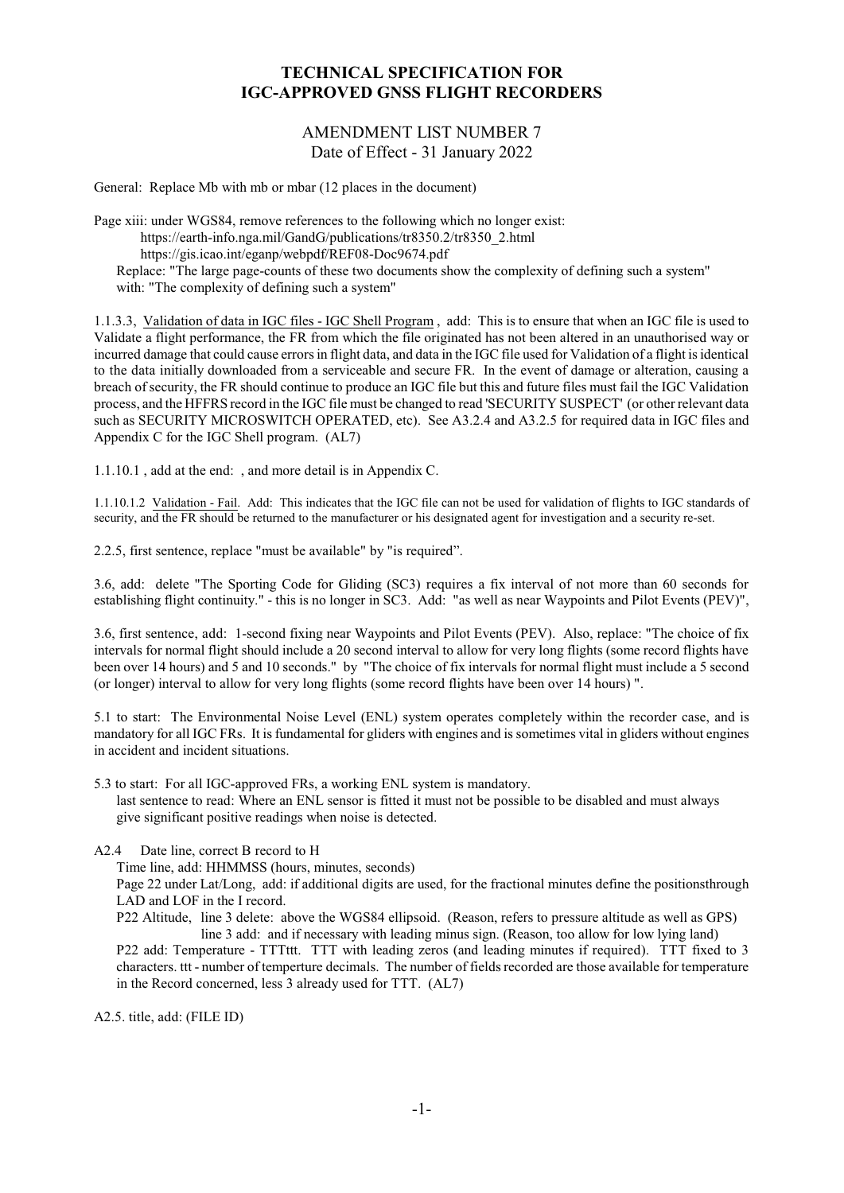## **TECHNICAL SPECIFICATION FOR IGC-APPROVED GNSS FLIGHT RECORDERS**

## AMENDMENT LIST NUMBER 7 Date of Effect - 31 January 2022

General: Replace Mb with mb or mbar (12 places in the document)

Page xiii: under WGS84, remove references to the following which no longer exist: https://earth-info.nga.mil/GandG/publications/tr8350.2/tr8350\_2.html https://gis.icao.int/eganp/webpdf/REF08-Doc9674.pdf Replace: "The large page-counts of these two documents show the complexity of defining such a system" with: "The complexity of defining such a system"

1.1.3.3, Validation of data in IGC files - IGC Shell Program , add: This is to ensure that when an IGC file is used to Validate a flight performance, the FR from which the file originated has not been altered in an unauthorised way or incurred damage that could cause errors in flight data, and data in the IGC file used for Validation of a flight is identical to the data initially downloaded from a serviceable and secure FR. In the event of damage or alteration, causing a breach of security, the FR should continue to produce an IGC file but this and future files must fail the IGC Validation process, and the HFFRS record in the IGC file must be changed to read 'SECURITY SUSPECT' (or other relevant data such as SECURITY MICROSWITCH OPERATED, etc). See A3.2.4 and A3.2.5 for required data in IGC files and Appendix C for the IGC Shell program. (AL7)

1.1.10.1 , add at the end: , and more detail is in Appendix C.

1.1.10.1.2 Validation - Fail. Add: This indicates that the IGC file can not be used for validation of flights to IGC standards of security, and the FR should be returned to the manufacturer or his designated agent for investigation and a security re-set.

2.2.5, first sentence, replace "must be available" by "is required".

3.6, add: delete "The Sporting Code for Gliding (SC3) requires a fix interval of not more than 60 seconds for establishing flight continuity." - this is no longer in SC3. Add: "as well as near Waypoints and Pilot Events (PEV)",

3.6, first sentence, add: 1-second fixing near Waypoints and Pilot Events (PEV). Also, replace: "The choice of fix intervals for normal flight should include a 20 second interval to allow for very long flights (some record flights have been over 14 hours) and 5 and 10 seconds." by "The choice of fix intervals for normal flight must include a 5 second (or longer) interval to allow for very long flights (some record flights have been over 14 hours) ".

5.1 to start: The Environmental Noise Level (ENL) system operates completely within the recorder case, and is mandatory for all IGC FRs. It is fundamental for gliders with engines and is sometimes vital in gliders without engines in accident and incident situations.

5.3 to start: For all IGC-approved FRs, a working ENL system is mandatory.

last sentence to read: Where an ENL sensor is fitted it must not be possible to be disabled and must always give significant positive readings when noise is detected.

A2.4 Date line, correct B record to H

Time line, add: HHMMSS (hours, minutes, seconds)

Page 22 under Lat/Long, add: if additional digits are used, for the fractional minutes define the positionsthrough LAD and LOF in the I record.

P22 Altitude, line 3 delete: above the WGS84 ellipsoid. (Reason, refers to pressure altitude as well as GPS) line 3 add: and if necessary with leading minus sign. (Reason, too allow for low lying land) P22 add: Temperature - TTTttt. TTT with leading zeros (and leading minutes if required). TTT fixed to 3 characters. ttt - number of temperture decimals. The number of fields recorded are those available for temperature in the Record concerned, less 3 already used for TTT. (AL7)

A2.5. title, add: (FILE ID)